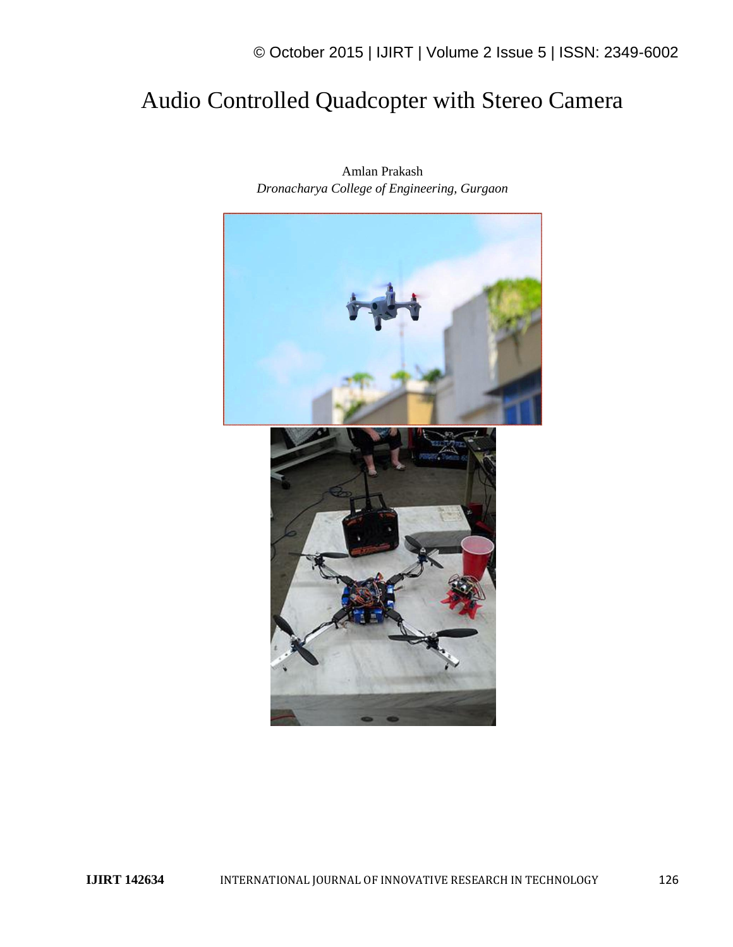# © October 2015 | IJIRT | Volume 2 Issue 5 | ISSN: 2349-6002

# Audio Controlled Quadcopter with Stereo Camera



Amlan Prakash *Dronacharya College of Engineering, Gurgaon*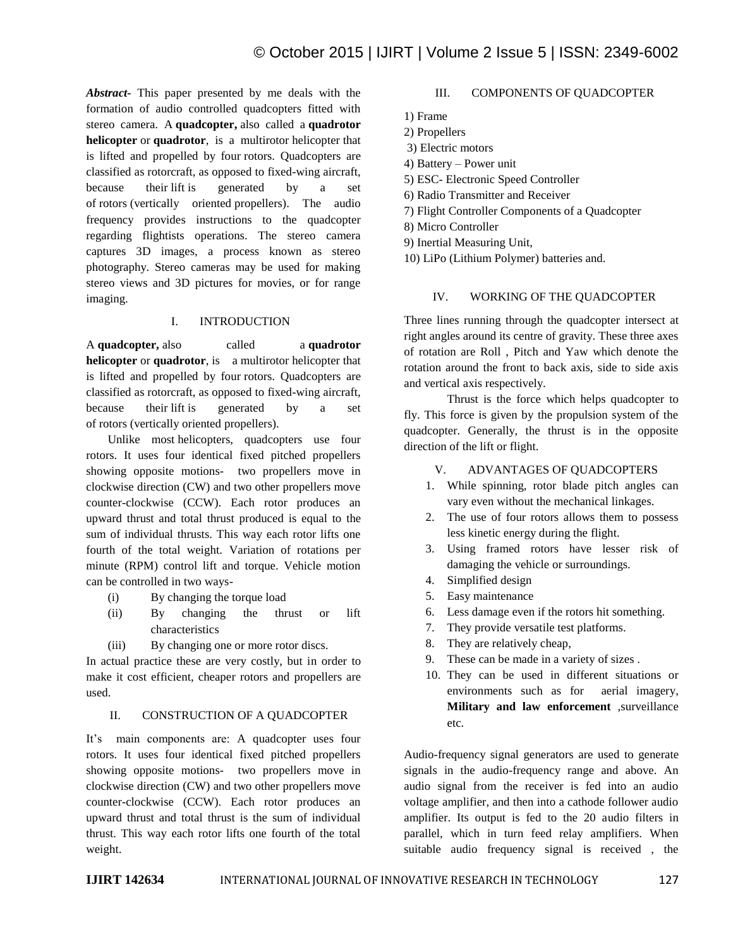*Abstract-* This paper presented by me deals with the formation of audio controlled quadcopters fitted with stereo camera. A **quadcopter,** also called a **quadrotor helicopter** or **quadrotor**, is a multirotor helicopter that is lifted and propelled by four rotors. Quadcopters are classified as rotorcraft, as opposed to fixed-wing aircraft, because their lift is generated by a set of rotors (vertically oriented propellers). The audio frequency provides instructions to the quadcopter regarding flightists operations. The stereo camera captures 3D images, a process known as stereo photography. Stereo cameras may be used for making stereo views and 3D pictures for movies, or for range imaging.

### I. INTRODUCTION

A **quadcopter,** also called a **quadrotor helicopter** or **quadrotor**, is a multirotor helicopter that is lifted and propelled by four rotors. Quadcopters are classified as rotorcraft, as opposed to fixed-wing aircraft, because their lift is generated by a set of rotors (vertically oriented propellers).

Unlike most helicopters, quadcopters use four rotors. It uses four identical fixed pitched propellers showing opposite motions- two propellers move in clockwise direction (CW) and two other propellers move counter-clockwise (CCW). Each rotor produces an upward thrust and total thrust produced is equal to the sum of individual thrusts. This way each rotor lifts one fourth of the total weight. Variation of rotations per minute (RPM) control lift and torque. Vehicle motion can be controlled in two ways-

- (i) By changing the torque load
- (ii) By changing the thrust or lift characteristics
- (iii) By changing one or more rotor discs.

In actual practice these are very costly, but in order to make it cost efficient, cheaper rotors and propellers are used.

#### II. CONSTRUCTION OF A QUADCOPTER

It's main components are: A quadcopter uses four rotors. It uses four identical fixed pitched propellers showing opposite motions- two propellers move in clockwise direction (CW) and two other propellers move counter-clockwise (CCW). Each rotor produces an upward thrust and total thrust is the sum of individual thrust. This way each rotor lifts one fourth of the total weight.

#### III. COMPONENTS OF QUADCOPTER

1) Frame

- 2) Propellers
- 3) Electric motors
- 4) Battery Power unit
- 5) ESC- Electronic Speed Controller
- 6) Radio Transmitter and Receiver
- 7) Flight Controller Components of a Quadcopter
- 8) Micro Controller
- 9) Inertial Measuring Unit,
- 10) LiPo (Lithium Polymer) batteries and.

### IV. WORKING OF THE QUADCOPTER

Three lines running through the quadcopter intersect at right angles around its centre of gravity. These three axes of rotation are Roll , Pitch and Yaw which denote the rotation around the front to back axis, side to side axis and vertical axis respectively.

Thrust is the force which helps quadcopter to fly. This force is given by the propulsion system of the quadcopter. Generally, the thrust is in the opposite direction of the lift or flight.

## V. ADVANTAGES OF QUADCOPTERS

- 1. While spinning, rotor blade pitch angles can vary even without the mechanical linkages.
- 2. The use of four rotors allows them to possess less kinetic energy during the flight.
- 3. Using framed rotors have lesser risk of damaging the vehicle or surroundings.
- 4. Simplified design
- 5. Easy maintenance
- 6. Less damage even if the rotors hit something.
- 7. They provide versatile test platforms.
- 8. They are relatively cheap,
- 9. These can be made in a variety of sizes .
- 10. They can be used in different situations or environments such as for aerial imagery, **Military and law enforcement** ,surveillance etc.

Audio-frequency signal generators are used to generate signals in the audio-frequency range and above. An audio signal from the receiver is fed into an audio voltage amplifier, and then into a cathode follower audio amplifier. Its output is fed to the 20 audio filters in parallel, which in turn feed relay amplifiers. When suitable audio frequency signal is received , the